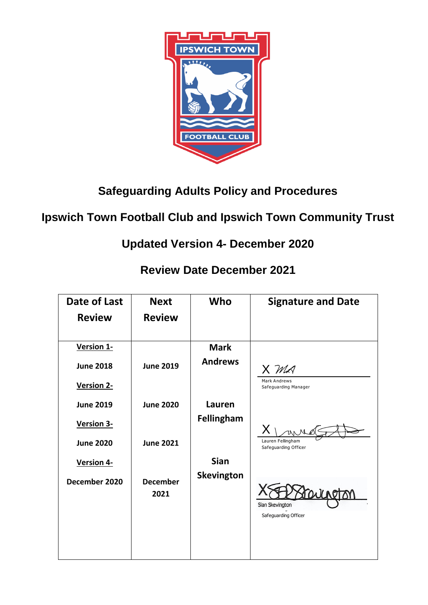

**Safeguarding Adults Policy and Procedures** 

# **Ipswich Town Football Club and Ipswich Town Community Trust**

**Updated Version 4- December 2020** 

**Review Date December 2021** 

| Date of Last     | <b>Next</b>             | Who               | <b>Signature and Date</b>                   |
|------------------|-------------------------|-------------------|---------------------------------------------|
| <b>Review</b>    | <b>Review</b>           |                   |                                             |
|                  |                         |                   |                                             |
| Version 1-       |                         | <b>Mark</b>       |                                             |
| <b>June 2018</b> | <b>June 2019</b>        | <b>Andrews</b>    | X MA                                        |
| Version 2-       |                         |                   | <b>Mark Andrews</b><br>Safeguarding Manager |
| <b>June 2019</b> | <b>June 2020</b>        | Lauren            |                                             |
| Version 3-       |                         | <b>Fellingham</b> |                                             |
| <b>June 2020</b> | <b>June 2021</b>        |                   | Lauren Fellingham<br>Safeguarding Officer   |
| Version 4-       |                         | <b>Sian</b>       |                                             |
| December 2020    | <b>December</b><br>2021 | <b>Skevington</b> | Sian Skevington<br>Safeguarding Officer     |
|                  |                         |                   |                                             |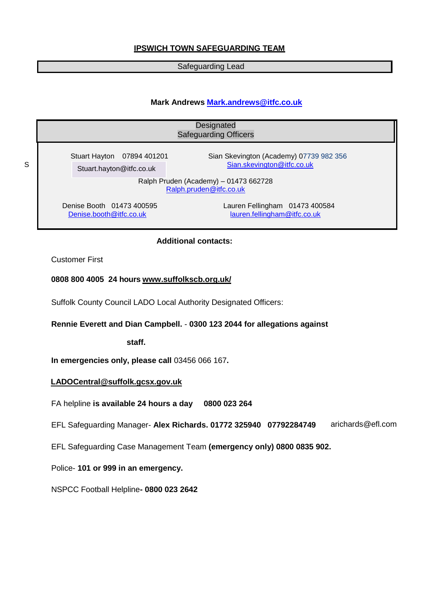# **IPSWICH TOWN SAFEGUARDING TEAM**

### Safeguarding Lead

### **Mark Andrews [Mark.andrews@itfc.co.uk](mailto:Mark.andrews@itfc.co.uk)**

|   | Designated<br><b>Safeguarding Officers</b>                       |                                                                       |  |  |  |
|---|------------------------------------------------------------------|-----------------------------------------------------------------------|--|--|--|
| S | Stuart Hayton 07894 401201<br>Stuart.hayton@itfc.co.uk           | Sian Skevington (Academy) 07739 982 356<br>Sian.skevington@itfc.co.uk |  |  |  |
|   | Ralph Pruden (Academy) - 01473 662728<br>Ralph.pruden@itfc.co.uk |                                                                       |  |  |  |
|   | Denise Booth 01473 400595<br>Denise.booth@itfc.co.uk             | Lauren Fellingham 01473 400584<br>lauren.fellingham@itfc.co.uk        |  |  |  |

### **Additional contacts:**

Customer First

### **0808 800 4005 24 hours [www.suffolkscb.org.uk/](http://www.suffolkscb.org.uk/)**

Suffolk County Council LADO Local Authority Designated Officers:

### **Rennie Everett and Dian Campbell.** - **0300 123 2044 for allegations against**

**staff.**

**In emergencies only, please call** 03456 066 167**.**

### **[LADOCentral@suffolk.gcsx.gov.uk](mailto:LADOCentral@suffolk.gcsx.gov.uk)**

FA helpline **is available 24 hours a day 0800 023 264**

EFL Safeguarding Manager- **Alex Richards. 01772 325940 07792284749**  arichards@efl.com

EFL Safeguarding Case Management Team **(emergency only) 0800 0835 902.**

Police- **101 or 999 in an emergency.**

NSPCC Football Helpline**- 0800 023 2642**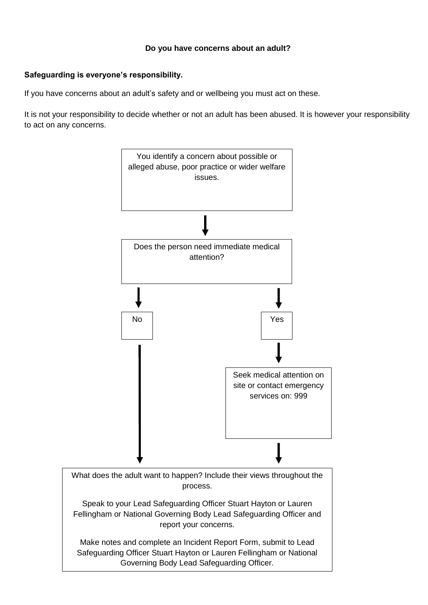### **Do you have concerns about an adult?**

# **Safeguarding is everyone's responsibility.**

If you have concerns about an adult's safety and or wellbeing you must act on these.

It is not your responsibility to decide whether or not an adult has been abused. It is however your responsibility to act on any concerns.



Governing Body Lead Safeguarding Officer.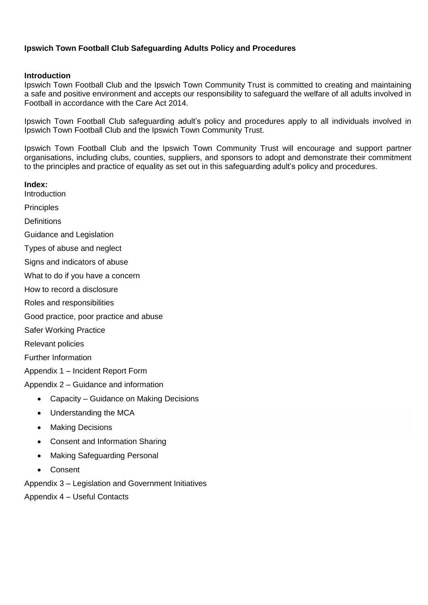# **Ipswich Town Football Club Safeguarding Adults Policy and Procedures**

### **Introduction**

Ipswich Town Football Club and the Ipswich Town Community Trust is committed to creating and maintaining a safe and positive environment and accepts our responsibility to safeguard the welfare of all adults involved in Football in accordance with the Care Act 2014.

Ipswich Town Football Club safeguarding adult's policy and procedures apply to all individuals involved in Ipswich Town Football Club and the Ipswich Town Community Trust.

Ipswich Town Football Club and the Ipswich Town Community Trust will encourage and support partner organisations, including clubs, counties, suppliers, and sponsors to adopt and demonstrate their commitment to the principles and practice of equality as set out in this safeguarding adult's policy and procedures.

**Index:**

**Introduction** 

**Principles** 

**Definitions** 

Guidance and Legislation

Types of abuse and neglect

Signs and indicators of abuse

What to do if you have a concern

How to record a disclosure

Roles and responsibilities

Good practice, poor practice and abuse

Safer Working Practice

Relevant policies

Further Information

Appendix 1 – Incident Report Form

Appendix 2 – Guidance and information

- Capacity Guidance on Making Decisions
- Understanding the MCA
- Making Decisions
- Consent and Information Sharing
- Making Safeguarding Personal
- Consent

Appendix 3 – Legislation and Government Initiatives

Appendix 4 – Useful Contacts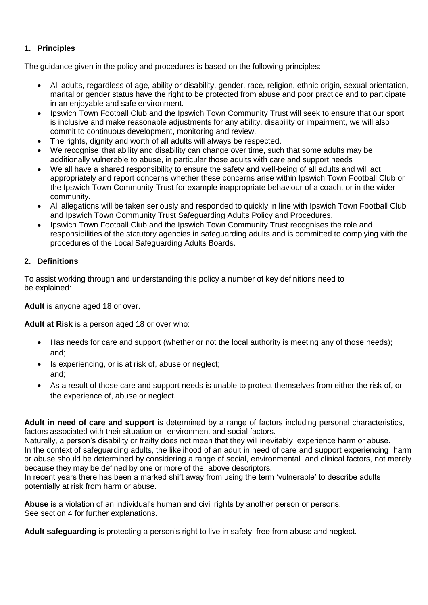# **1. Principles**

The guidance given in the policy and procedures is based on the following principles:

- All adults, regardless of age, ability or disability, gender, race, religion, ethnic origin, sexual orientation, marital or gender status have the right to be protected from abuse and poor practice and to participate in an enjoyable and safe environment.
- Ipswich Town Football Club and the Ipswich Town Community Trust will seek to ensure that our sport is inclusive and make reasonable adjustments for any ability, disability or impairment, we will also commit to continuous development, monitoring and review.
- The rights, dignity and worth of all adults will always be respected.
- We recognise that ability and disability can change over time, such that some adults may be additionally vulnerable to abuse, in particular those adults with care and support needs
- We all have a shared responsibility to ensure the safety and well-being of all adults and will act appropriately and report concerns whether these concerns arise within Ipswich Town Football Club or the Ipswich Town Community Trust for example inappropriate behaviour of a coach, or in the wider community.
- All allegations will be taken seriously and responded to quickly in line with Ipswich Town Football Club and Ipswich Town Community Trust Safeguarding Adults Policy and Procedures.
- Ipswich Town Football Club and the Ipswich Town Community Trust recognises the role and responsibilities of the statutory agencies in safeguarding adults and is committed to complying with the procedures of the Local Safeguarding Adults Boards.

### **2. Definitions**

To assist working through and understanding this policy a number of key definitions need to be explained:

**Adult** is anyone aged 18 or over.

**Adult at Risk** is a person aged 18 or over who:

- Has needs for care and support (whether or not the local authority is meeting any of those needs); and;
- Is experiencing, or is at risk of, abuse or neglect; and;
- As a result of those care and support needs is unable to protect themselves from either the risk of, or the experience of, abuse or neglect.

**Adult in need of care and support** is determined by a range of factors including personal characteristics, factors associated with their situation or environment and social factors.

Naturally, a person's disability or frailty does not mean that they will inevitably experience harm or abuse. In the context of safeguarding adults, the likelihood of an adult in need of care and support experiencing harm or abuse should be determined by considering a range of social, environmental and clinical factors, not merely because they may be defined by one or more of the above descriptors.

In recent years there has been a marked shift away from using the term 'vulnerable' to describe adults potentially at risk from harm or abuse.

**Abuse** is a violation of an individual's human and civil rights by another person or persons. See section 4 for further explanations.

**Adult safeguarding** is protecting a person's right to live in safety, free from abuse and neglect.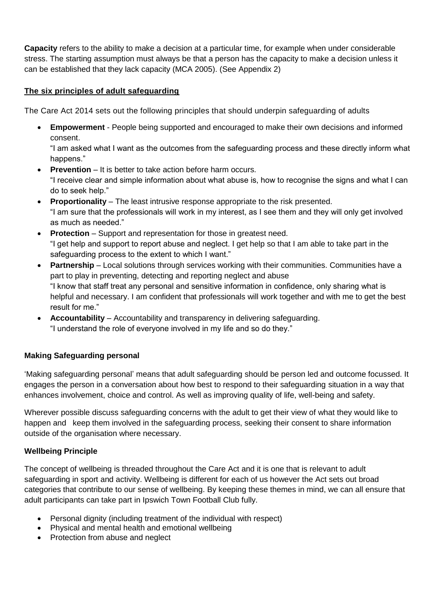**Capacity** refers to the ability to make a decision at a particular time, for example when under considerable stress. The starting assumption must always be that a person has the capacity to make a decision unless it can be established that they lack capacity (MCA 2005). (See Appendix 2)

# **The six principles of adult safeguarding**

The Care Act 2014 sets out the following principles that should underpin safeguarding of adults

 **Empowerment** - People being supported and encouraged to make their own decisions and informed consent.

"I am asked what I want as the outcomes from the safeguarding process and these directly inform what happens."

- **Prevention** It is better to take action before harm occurs. "I receive clear and simple information about what abuse is, how to recognise the signs and what I can do to seek help."
- **Proportionality** The least intrusive response appropriate to the risk presented. "I am sure that the professionals will work in my interest, as I see them and they will only get involved as much as needed."
- **Protection** Support and representation for those in greatest need. "I get help and support to report abuse and neglect. I get help so that I am able to take part in the safeguarding process to the extent to which I want."
- **Partnership** Local solutions through services working with their communities. Communities have a part to play in preventing, detecting and reporting neglect and abuse "I know that staff treat any personal and sensitive information in confidence, only sharing what is helpful and necessary. I am confident that professionals will work together and with me to get the best result for me."
- **Accountability** Accountability and transparency in delivering safeguarding. "I understand the role of everyone involved in my life and so do they."

# **Making Safeguarding personal**

'Making safeguarding personal' means that adult safeguarding should be person led and outcome focussed. It engages the person in a conversation about how best to respond to their safeguarding situation in a way that enhances involvement, choice and control. As well as improving quality of life, well-being and safety.

Wherever possible discuss safeguarding concerns with the adult to get their view of what they would like to happen and keep them involved in the safeguarding process, seeking their consent to share information outside of the organisation where necessary.

# **Wellbeing Principle**

The concept of wellbeing is threaded throughout the Care Act and it is one that is relevant to adult safeguarding in sport and activity. Wellbeing is different for each of us however the Act sets out broad categories that contribute to our sense of wellbeing. By keeping these themes in mind, we can all ensure that adult participants can take part in Ipswich Town Football Club fully.

- Personal dignity (including treatment of the individual with respect)
- Physical and mental health and emotional wellbeing
- Protection from abuse and neglect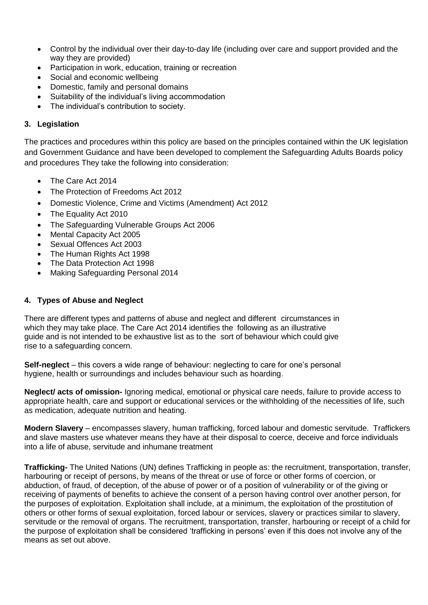- Control by the individual over their day-to-day life (including over care and support provided and the way they are provided)
- Participation in work, education, training or recreation
- Social and economic wellbeing
- Domestic, family and personal domains
- Suitability of the individual's living accommodation
- The individual's contribution to society.

### **3. Legislation**

The practices and procedures within this policy are based on the principles contained within the UK legislation and Government Guidance and have been developed to complement the Safeguarding Adults Boards policy and procedures They take the following into consideration:

- The Care Act 2014
- The Protection of Freedoms Act 2012
- Domestic Violence, Crime and Victims (Amendment) Act 2012
- The Equality Act 2010
- The Safeguarding Vulnerable Groups Act 2006
- Mental Capacity Act 2005
- Sexual Offences Act 2003
- The Human Rights Act 1998
- The Data Protection Act 1998
- Making Safeguarding Personal 2014

### **4. Types of Abuse and Neglect**

There are different types and patterns of abuse and neglect and different circumstances in which they may take place. The Care Act 2014 identifies the following as an illustrative guide and is not intended to be exhaustive list as to the sort of behaviour which could give rise to a safeguarding concern.

**Self-neglect** – this covers a wide range of behaviour: neglecting to care for one's personal hygiene, health or surroundings and includes behaviour such as hoarding.

**Neglect/ acts of omission-** Ignoring medical, emotional or physical care needs, failure to provide access to appropriate health, care and support or educational services or the withholding of the necessities of life, such as medication, adequate nutrition and heating.

**Modern Slavery** – encompasses slavery, human trafficking, forced labour and domestic servitude. Traffickers and slave masters use whatever means they have at their disposal to coerce, deceive and force individuals into a life of abuse, servitude and inhumane treatment

**Trafficking-** The United Nations (UN) defines Trafficking in people as: the recruitment, transportation, transfer, harbouring or receipt of persons, by means of the threat or use of force or other forms of coercion, or abduction, of fraud, of deception, of the abuse of power or of a position of vulnerability or of the giving or receiving of payments of benefits to achieve the consent of a person having control over another person, for the purposes of exploitation. Exploitation shall include, at a minimum, the exploitation of the prostitution of others or other forms of sexual exploitation, forced labour or services, slavery or practices similar to slavery, servitude or the removal of organs. The recruitment, transportation, transfer, harbouring or receipt of a child for the purpose of exploitation shall be considered 'trafficking in persons' even if this does not involve any of the means as set out above.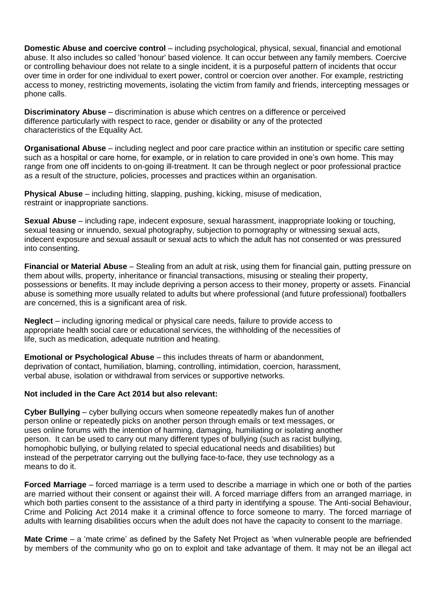**Domestic Abuse and coercive control** – including psychological, physical, sexual, financial and emotional abuse. It also includes so called 'honour' based violence. It can occur between any family members. Coercive or controlling behaviour does not relate to a single incident, it is a purposeful pattern of incidents that occur over time in order for one individual to exert power, control or coercion over another. For example, restricting access to money, restricting movements, isolating the victim from family and friends, intercepting messages or phone calls.

**Discriminatory Abuse** – discrimination is abuse which centres on a difference or perceived difference particularly with respect to race, gender or disability or any of the protected characteristics of the Equality Act.

**Organisational Abuse** – including neglect and poor care practice within an institution or specific care setting such as a hospital or care home, for example, or in relation to care provided in one's own home. This may range from one off incidents to on-going ill-treatment. It can be through neglect or poor professional practice as a result of the structure, policies, processes and practices within an organisation.

**Physical Abuse** – including hitting, slapping, pushing, kicking, misuse of medication, restraint or inappropriate sanctions.

**Sexual Abuse** – including rape, indecent exposure, sexual harassment, inappropriate looking or touching, sexual teasing or innuendo, sexual photography, subjection to pornography or witnessing sexual acts, indecent exposure and sexual assault or sexual acts to which the adult has not consented or was pressured into consenting.

**Financial or Material Abuse** – Stealing from an adult at risk, using them for financial gain, putting pressure on them about wills, property, inheritance or financial transactions, misusing or stealing their property, possessions or benefits. It may include depriving a person access to their money, property or assets. Financial abuse is something more usually related to adults but where professional (and future professional) footballers are concerned, this is a significant area of risk.

**Neglect** – including ignoring medical or physical care needs, failure to provide access to appropriate health social care or educational services, the withholding of the necessities of life, such as medication, adequate nutrition and heating.

**Emotional or Psychological Abuse** – this includes threats of harm or abandonment, deprivation of contact, humiliation, blaming, controlling, intimidation, coercion, harassment, verbal abuse, isolation or withdrawal from services or supportive networks.

### **Not included in the Care Act 2014 but also relevant:**

**Cyber Bullying** – cyber bullying occurs when someone repeatedly makes fun of another person online or repeatedly picks on another person through emails or text messages, or uses online forums with the intention of harming, damaging, humiliating or isolating another person. It can be used to carry out many different types of bullying (such as racist bullying, homophobic bullying, or bullying related to special educational needs and disabilities) but instead of the perpetrator carrying out the bullying face-to-face, they use technology as a means to do it.

**Forced Marriage** – forced marriage is a term used to describe a marriage in which one or both of the parties are married without their consent or against their will. A forced marriage differs from an arranged marriage, in which both parties consent to the assistance of a third party in identifying a spouse. The Anti-social Behaviour, Crime and Policing Act 2014 make it a criminal offence to force someone to marry. The forced marriage of adults with learning disabilities occurs when the adult does not have the capacity to consent to the marriage.

**Mate Crime** – a 'mate crime' as defined by the Safety Net Project as 'when vulnerable people are befriended by members of the community who go on to exploit and take advantage of them. It may not be an illegal act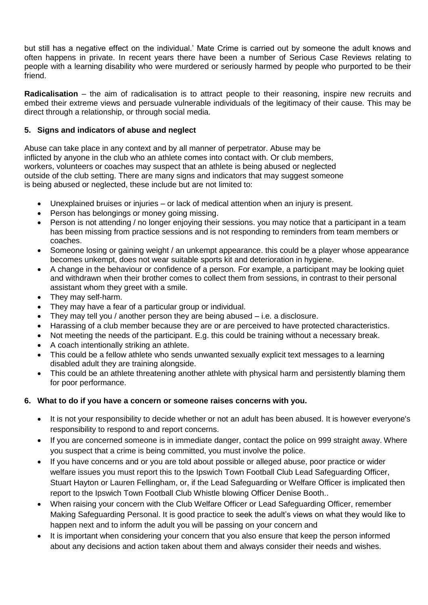but still has a negative effect on the individual.' Mate Crime is carried out by someone the adult knows and often happens in private. In recent years there have been a number of Serious Case Reviews relating to people with a learning disability who were murdered or seriously harmed by people who purported to be their friend.

**Radicalisation** – the aim of radicalisation is to attract people to their reasoning, inspire new recruits and embed their extreme views and persuade vulnerable individuals of the legitimacy of their cause. This may be direct through a relationship, or through social media.

### **5. Signs and indicators of abuse and neglect**

Abuse can take place in any context and by all manner of perpetrator. Abuse may be inflicted by anyone in the club who an athlete comes into contact with. Or club members, workers, volunteers or coaches may suspect that an athlete is being abused or neglected outside of the club setting. There are many signs and indicators that may suggest someone is being abused or neglected, these include but are not limited to:

- Unexplained bruises or injuries or lack of medical attention when an injury is present.
- Person has belongings or money going missing.
- Person is not attending / no longer enjoying their sessions. you may notice that a participant in a team has been missing from practice sessions and is not responding to reminders from team members or coaches.
- Someone losing or gaining weight / an unkempt appearance. this could be a player whose appearance becomes unkempt, does not wear suitable sports kit and deterioration in hygiene.
- A change in the behaviour or confidence of a person. For example, a participant may be looking quiet and withdrawn when their brother comes to collect them from sessions, in contrast to their personal assistant whom they greet with a smile.
- They may self-harm.
- They may have a fear of a particular group or individual.
- They may tell you / another person they are being abused i.e. a disclosure.
- Harassing of a club member because they are or are perceived to have protected characteristics.
- Not meeting the needs of the participant. E.g. this could be training without a necessary break.
- A coach intentionally striking an athlete.
- This could be a fellow athlete who sends unwanted sexually explicit text messages to a learning disabled adult they are training alongside.
- This could be an athlete threatening another athlete with physical harm and persistently blaming them for poor performance.

# **6. What to do if you have a concern or someone raises concerns with you.**

- It is not your responsibility to decide whether or not an adult has been abused. It is however everyone's responsibility to respond to and report concerns.
- If you are concerned someone is in immediate danger, contact the police on 999 straight away. Where you suspect that a crime is being committed, you must involve the police.
- If you have concerns and or you are told about possible or alleged abuse, poor practice or wider welfare issues you must report this to the Ipswich Town Football Club Lead Safeguarding Officer, Stuart Hayton or Lauren Fellingham, or, if the Lead Safeguarding or Welfare Officer is implicated then report to the Ipswich Town Football Club Whistle blowing Officer Denise Booth..
- When raising your concern with the Club Welfare Officer or Lead Safeguarding Officer, remember Making Safeguarding Personal. It is good practice to seek the adult's views on what they would like to happen next and to inform the adult you will be passing on your concern and
- It is important when considering your concern that you also ensure that keep the person informed about any decisions and action taken about them and always consider their needs and wishes.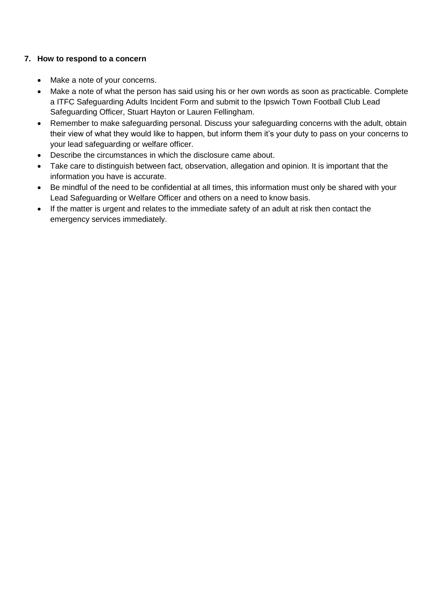# **7. How to respond to a concern**

- Make a note of your concerns.
- Make a note of what the person has said using his or her own words as soon as practicable. Complete a ITFC Safeguarding Adults Incident Form and submit to the Ipswich Town Football Club Lead Safeguarding Officer, Stuart Hayton or Lauren Fellingham.
- Remember to make safeguarding personal. Discuss your safeguarding concerns with the adult, obtain their view of what they would like to happen, but inform them it's your duty to pass on your concerns to your lead safeguarding or welfare officer.
- Describe the circumstances in which the disclosure came about.
- Take care to distinguish between fact, observation, allegation and opinion. It is important that the information you have is accurate.
- Be mindful of the need to be confidential at all times, this information must only be shared with your Lead Safeguarding or Welfare Officer and others on a need to know basis.
- If the matter is urgent and relates to the immediate safety of an adult at risk then contact the emergency services immediately.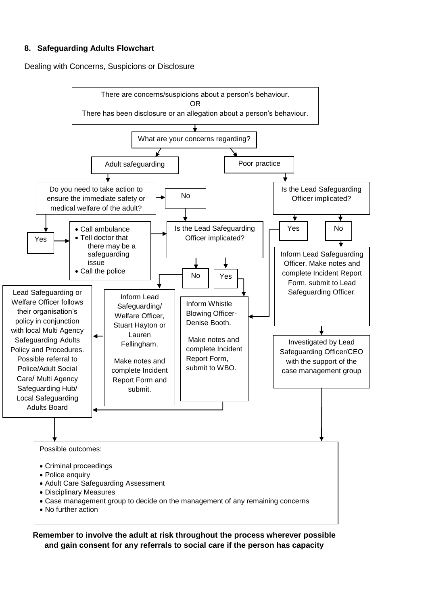# **8. Safeguarding Adults Flowchart**

Dealing with Concerns, Suspicions or Disclosure



**Remember to involve the adult at risk throughout the process wherever possible and gain consent for any referrals to social care if the person has capacity**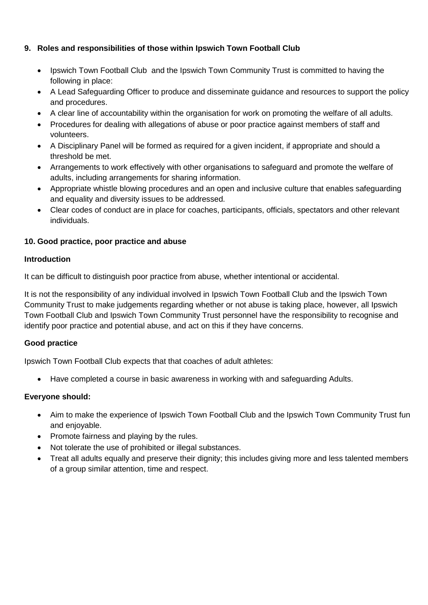# **9. Roles and responsibilities of those within Ipswich Town Football Club**

- Ipswich Town Football Club and the Ipswich Town Community Trust is committed to having the following in place:
- A Lead Safeguarding Officer to produce and disseminate guidance and resources to support the policy and procedures.
- A clear line of accountability within the organisation for work on promoting the welfare of all adults.
- Procedures for dealing with allegations of abuse or poor practice against members of staff and volunteers.
- A Disciplinary Panel will be formed as required for a given incident, if appropriate and should a threshold be met.
- Arrangements to work effectively with other organisations to safeguard and promote the welfare of adults, including arrangements for sharing information.
- Appropriate whistle blowing procedures and an open and inclusive culture that enables safeguarding and equality and diversity issues to be addressed.
- Clear codes of conduct are in place for coaches, participants, officials, spectators and other relevant individuals.

# **10. Good practice, poor practice and abuse**

### **Introduction**

It can be difficult to distinguish poor practice from abuse, whether intentional or accidental.

It is not the responsibility of any individual involved in Ipswich Town Football Club and the Ipswich Town Community Trust to make judgements regarding whether or not abuse is taking place, however, all Ipswich Town Football Club and Ipswich Town Community Trust personnel have the responsibility to recognise and identify poor practice and potential abuse, and act on this if they have concerns.

# **Good practice**

Ipswich Town Football Club expects that that coaches of adult athletes:

Have completed a course in basic awareness in working with and safeguarding Adults.

# **Everyone should:**

- Aim to make the experience of Ipswich Town Football Club and the Ipswich Town Community Trust fun and enjoyable.
- Promote fairness and playing by the rules.
- Not tolerate the use of prohibited or illegal substances.
- Treat all adults equally and preserve their dignity; this includes giving more and less talented members of a group similar attention, time and respect.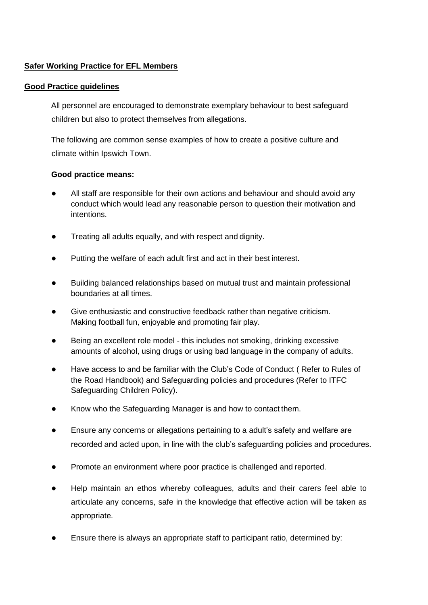# **Safer Working Practice for EFL Members**

### **Good Practice guidelines**

All personnel are encouraged to demonstrate exemplary behaviour to best safeguard children but also to protect themselves from allegations.

The following are common sense examples of how to create a positive culture and climate within Ipswich Town.

### **Good practice means:**

- All staff are responsible for their own actions and behaviour and should avoid any conduct which would lead any reasonable person to question their motivation and intentions.
- Treating all adults equally, and with respect and dignity.
- Putting the welfare of each adult first and act in their best interest.
- Building balanced relationships based on mutual trust and maintain professional boundaries at all times.
- Give enthusiastic and constructive feedback rather than negative criticism. Making football fun, enjoyable and promoting fair play.
- Being an excellent role model this includes not smoking, drinking excessive amounts of alcohol, using drugs or using bad language in the company of adults.
- Have access to and be familiar with the Club's Code of Conduct ( Refer to Rules of the Road Handbook) and Safeguarding policies and procedures (Refer to ITFC Safeguarding Children Policy).
- Know who the Safeguarding Manager is and how to contact them.
- Ensure any concerns or allegations pertaining to a adult's safety and welfare are recorded and acted upon, in line with the club's safeguarding policies and procedures.
- Promote an environment where poor practice is challenged and reported.
- Help maintain an ethos whereby colleagues, adults and their carers feel able to articulate any concerns, safe in the knowledge that effective action will be taken as appropriate.
- Ensure there is always an appropriate staff to participant ratio, determined by: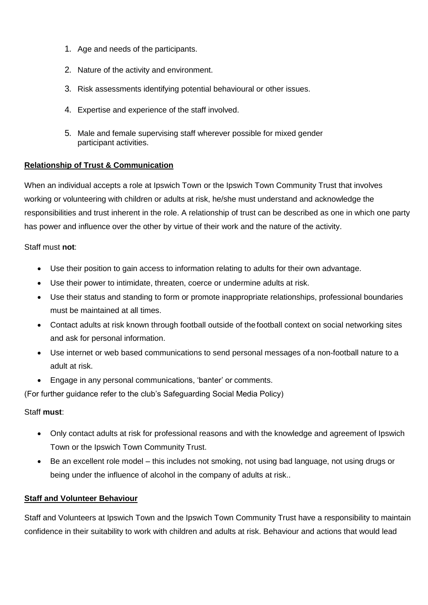- 1. Age and needs of the participants.
- 2. Nature of the activity and environment.
- 3. Risk assessments identifying potential behavioural or other issues.
- 4. Expertise and experience of the staff involved.
- 5. Male and female supervising staff wherever possible for mixed gender participant activities.

### **Relationship of Trust & Communication**

When an individual accepts a role at Ipswich Town or the Ipswich Town Community Trust that involves working or volunteering with children or adults at risk, he/she must understand and acknowledge the responsibilities and trust inherent in the role. A relationship of trust can be described as one in which one party has power and influence over the other by virtue of their work and the nature of the activity.

Staff must **not**:

- Use their position to gain access to information relating to adults for their own advantage.
- Use their power to intimidate, threaten, coerce or undermine adults at risk.
- Use their status and standing to form or promote inappropriate relationships, professional boundaries must be maintained at all times.
- Contact adults at risk known through football outside of thefootball context on social networking sites and ask for personal information.
- Use internet or web based communications to send personal messages of a non-football nature to a adult at risk.
- Engage in any personal communications, 'banter' or comments.

(For further guidance refer to the club's Safeguarding Social Media Policy)

### Staff **must**:

- Only contact adults at risk for professional reasons and with the knowledge and agreement of Ipswich Town or the Ipswich Town Community Trust.
- Be an excellent role model this includes not smoking, not using bad language, not using drugs or being under the influence of alcohol in the company of adults at risk..

### **Staff and Volunteer Behaviour**

Staff and Volunteers at Ipswich Town and the Ipswich Town Community Trust have a responsibility to maintain confidence in their suitability to work with children and adults at risk. Behaviour and actions that would lead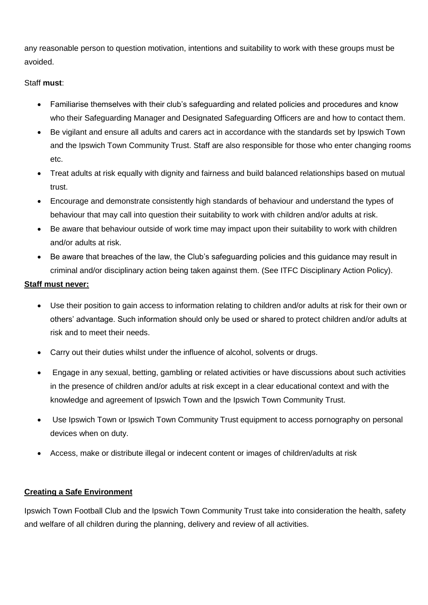any reasonable person to question motivation, intentions and suitability to work with these groups must be avoided.

# Staff **must**:

- Familiarise themselves with their club's safeguarding and related policies and procedures and know who their Safeguarding Manager and Designated Safeguarding Officers are and how to contact them.
- Be vigilant and ensure all adults and carers act in accordance with the standards set by Ipswich Town and the Ipswich Town Community Trust. Staff are also responsible for those who enter changing rooms etc.
- Treat adults at risk equally with dignity and fairness and build balanced relationships based on mutual trust.
- Encourage and demonstrate consistently high standards of behaviour and understand the types of behaviour that may call into question their suitability to work with children and/or adults at risk.
- Be aware that behaviour outside of work time may impact upon their suitability to work with children and/or adults at risk.
- Be aware that breaches of the law, the Club's safeguarding policies and this guidance may result in criminal and/or disciplinary action being taken against them. (See ITFC Disciplinary Action Policy).

# **Staff must never:**

- Use their position to gain access to information relating to children and/or adults at risk for their own or others' advantage. Such information should only be used or shared to protect children and/or adults at risk and to meet their needs.
- Carry out their duties whilst under the influence of alcohol, solvents or drugs.
- Engage in any sexual, betting, gambling or related activities or have discussions about such activities in the presence of children and/or adults at risk except in a clear educational context and with the knowledge and agreement of Ipswich Town and the Ipswich Town Community Trust.
- Use Ipswich Town or Ipswich Town Community Trust equipment to access pornography on personal devices when on duty.
- Access, make or distribute illegal or indecent content or images of children/adults at risk

# **Creating a Safe Environment**

Ipswich Town Football Club and the Ipswich Town Community Trust take into consideration the health, safety and welfare of all children during the planning, delivery and review of all activities.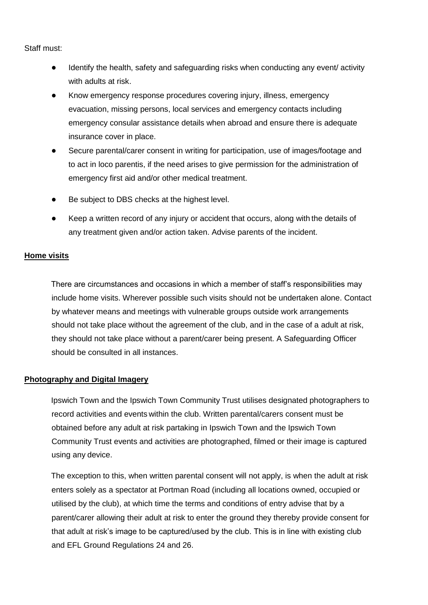### Staff must:

- Identify the health, safety and safeguarding risks when conducting any event/ activity with adults at risk.
- Know emergency response procedures covering injury, illness, emergency evacuation, missing persons, local services and emergency contacts including emergency consular assistance details when abroad and ensure there is adequate insurance cover in place.
- Secure parental/carer consent in writing for participation, use of images/footage and to act in loco parentis, if the need arises to give permission for the administration of emergency first aid and/or other medical treatment.
- Be subject to DBS checks at the highest level.
- Keep a written record of any injury or accident that occurs, along with the details of any treatment given and/or action taken. Advise parents of the incident.

### **Home visits**

There are circumstances and occasions in which a member of staff's responsibilities may include home visits. Wherever possible such visits should not be undertaken alone. Contact by whatever means and meetings with vulnerable groups outside work arrangements should not take place without the agreement of the club, and in the case of a adult at risk, they should not take place without a parent/carer being present. A Safeguarding Officer should be consulted in all instances.

### **Photography and Digital Imagery**

Ipswich Town and the Ipswich Town Community Trust utilises designated photographers to record activities and events within the club. Written parental/carers consent must be obtained before any adult at risk partaking in Ipswich Town and the Ipswich Town Community Trust events and activities are photographed, filmed or their image is captured using any device.

The exception to this, when written parental consent will not apply, is when the adult at risk enters solely as a spectator at Portman Road (including all locations owned, occupied or utilised by the club), at which time the terms and conditions of entry advise that by a parent/carer allowing their adult at risk to enter the ground they thereby provide consent for that adult at risk's image to be captured/used by the club. This is in line with existing club and EFL Ground Regulations 24 and 26.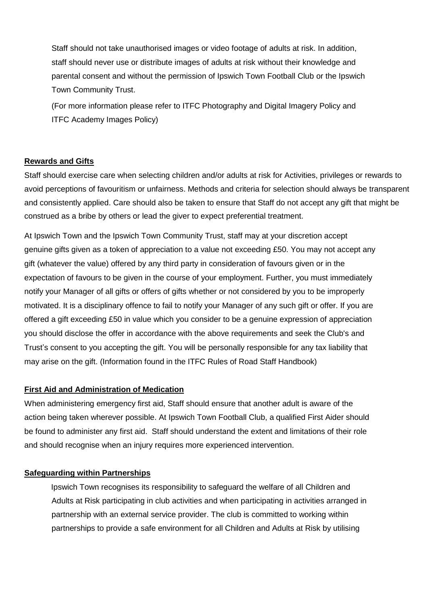Staff should not take unauthorised images or video footage of adults at risk. In addition, staff should never use or distribute images of adults at risk without their knowledge and parental consent and without the permission of Ipswich Town Football Club or the Ipswich Town Community Trust.

(For more information please refer to ITFC Photography and Digital Imagery Policy and ITFC Academy Images Policy)

### **Rewards and Gifts**

Staff should exercise care when selecting children and/or adults at risk for Activities, privileges or rewards to avoid perceptions of favouritism or unfairness. Methods and criteria for selection should always be transparent and consistently applied. Care should also be taken to ensure that Staff do not accept any gift that might be construed as a bribe by others or lead the giver to expect preferential treatment.

At Ipswich Town and the Ipswich Town Community Trust, staff may at your discretion accept genuine gifts given as a token of appreciation to a value not exceeding £50. You may not accept any gift (whatever the value) offered by any third party in consideration of favours given or in the expectation of favours to be given in the course of your employment. Further, you must immediately notify your Manager of all gifts or offers of gifts whether or not considered by you to be improperly motivated. It is a disciplinary offence to fail to notify your Manager of any such gift or offer. If you are offered a gift exceeding £50 in value which you consider to be a genuine expression of appreciation you should disclose the offer in accordance with the above requirements and seek the Club's and Trust's consent to you accepting the gift. You will be personally responsible for any tax liability that may arise on the gift. (Information found in the ITFC Rules of Road Staff Handbook)

### **First Aid and Administration of Medication**

When administering emergency first aid, Staff should ensure that another adult is aware of the action being taken wherever possible. At Ipswich Town Football Club, a qualified First Aider should be found to administer any first aid. Staff should understand the extent and limitations of their role and should recognise when an injury requires more experienced intervention.

### **Safeguarding within Partnerships**

Ipswich Town recognises its responsibility to safeguard the welfare of all Children and Adults at Risk participating in club activities and when participating in activities arranged in partnership with an external service provider. The club is committed to working within partnerships to provide a safe environment for all Children and Adults at Risk by utilising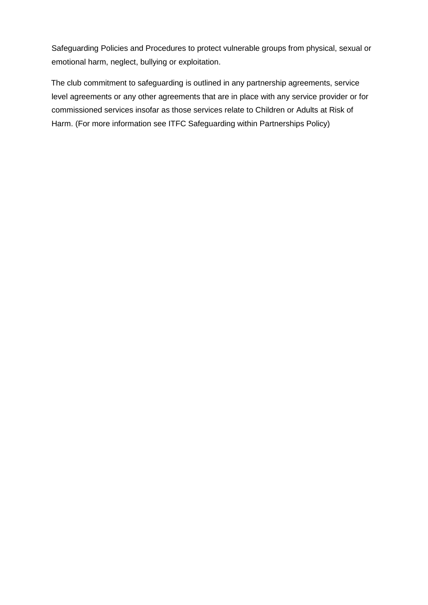Safeguarding Policies and Procedures to protect vulnerable groups from physical, sexual or emotional harm, neglect, bullying or exploitation.

The club commitment to safeguarding is outlined in any partnership agreements, service level agreements or any other agreements that are in place with any service provider or for commissioned services insofar as those services relate to Children or Adults at Risk of Harm. (For more information see ITFC Safeguarding within Partnerships Policy)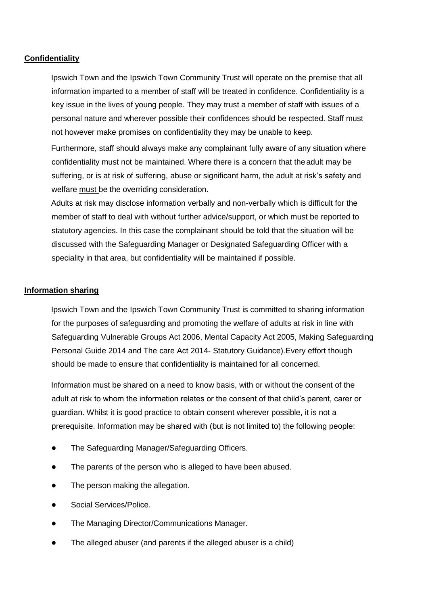#### **Confidentiality**

Ipswich Town and the Ipswich Town Community Trust will operate on the premise that all information imparted to a member of staff will be treated in confidence. Confidentiality is a key issue in the lives of young people. They may trust a member of staff with issues of a personal nature and wherever possible their confidences should be respected. Staff must not however make promises on confidentiality they may be unable to keep.

Furthermore, staff should always make any complainant fully aware of any situation where confidentiality must not be maintained. Where there is a concern that the adult may be suffering, or is at risk of suffering, abuse or significant harm, the adult at risk's safety and welfare must be the overriding consideration.

Adults at risk may disclose information verbally and non-verbally which is difficult for the member of staff to deal with without further advice/support, or which must be reported to statutory agencies. In this case the complainant should be told that the situation will be discussed with the Safeguarding Manager or Designated Safeguarding Officer with a speciality in that area, but confidentiality will be maintained if possible.

#### **Information sharing**

Ipswich Town and the Ipswich Town Community Trust is committed to sharing information for the purposes of safeguarding and promoting the welfare of adults at risk in line with Safeguarding Vulnerable Groups Act 2006, Mental Capacity Act 2005, Making Safeguarding Personal Guide 2014 and The care Act 2014- Statutory Guidance).Every effort though should be made to ensure that confidentiality is maintained for all concerned.

Information must be shared on a need to know basis, with or without the consent of the adult at risk to whom the information relates or the consent of that child's parent, carer or guardian. Whilst it is good practice to obtain consent wherever possible, it is not a prerequisite. Information may be shared with (but is not limited to) the following people:

- The Safeguarding Manager/Safeguarding Officers.
- The parents of the person who is alleged to have been abused.
- The person making the allegation.
- Social Services/Police.
- The Managing Director/Communications Manager.
- The alleged abuser (and parents if the alleged abuser is a child)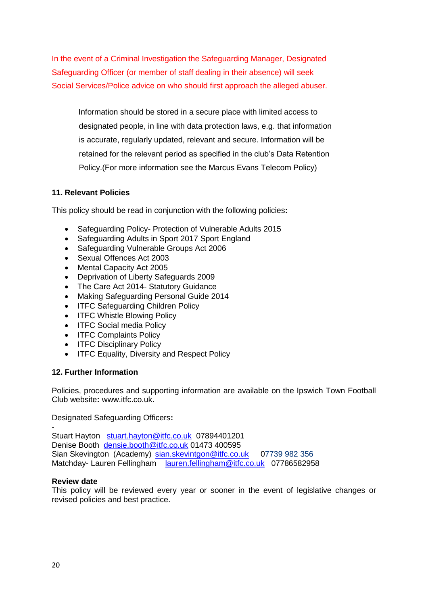In the event of a Criminal Investigation the Safeguarding Manager, Designated Safeguarding Officer (or member of staff dealing in their absence) will seek Social Services/Police advice on who should first approach the alleged abuser.

Information should be stored in a secure place with limited access to designated people, in line with data protection laws, e.g. that information is accurate, regularly updated, relevant and secure. Information will be retained for the relevant period as specified in the club's Data Retention Policy.(For more information see the Marcus Evans Telecom Policy)

### **11. Relevant Policies**

This policy should be read in conjunction with the following policies**:** 

- Safeguarding Policy- Protection of Vulnerable Adults 2015
- Safeguarding Adults in Sport 2017 Sport England
- Safeguarding Vulnerable Groups Act 2006
- Sexual Offences Act 2003
- Mental Capacity Act 2005
- Deprivation of Liberty Safeguards 2009
- The Care Act 2014- Statutory Guidance
- Making Safeguarding Personal Guide 2014
- ITFC Safeguarding Children Policy
- ITFC Whistle Blowing Policy
- ITFC Social media Policy
- **ITFC Complaints Policy**
- ITFC Disciplinary Policy
- ITFC Equality, Diversity and Respect Policy

### **12. Further Information**

Policies, procedures and supporting information are available on the Ipswich Town Football Club website**:** www.itfc.co.uk.

Designated Safeguarding Officers**:** 

- Stuart Hayton [stuart.hayton@itfc.co.uk](mailto:stuart.hayton@itfc.co.uk) 07894401201 Denise Booth [densie.booth@itfc.co.uk](mailto:densie.booth@itfc.co.uk) 01473 400595 Sian Skevington (Academy) [sian.skevintgon@itfc.co.uk](mailto:sian.skevintgon@itfc.co.uk) 07739 982 356 Matchday- Lauren Fellingham [lauren.fellingham@itfc.co.uk](mailto:lauren.fellingham@itfc.co.uk) 07786582958

### **Review date**

This policy will be reviewed every year or sooner in the event of legislative changes or revised policies and best practice.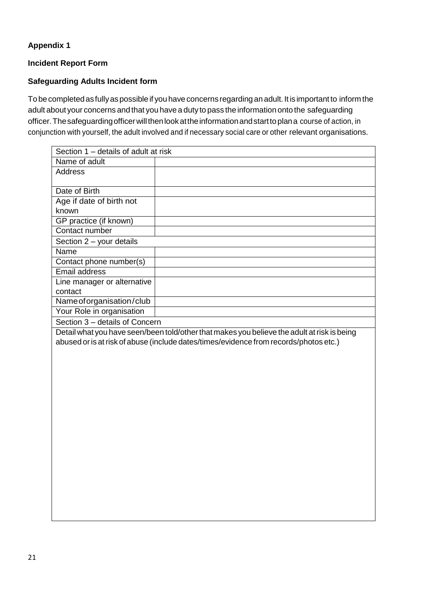# **Appendix 1**

# **Incident Report Form**

# **Safeguarding Adults Incident form**

To be completed as fully as possible if you have concerns regarding an adult. It is important to inform the adult about your concerns and that you have a duty to pass the information onto the safeguarding officer. The safeguarding officer will then look at the information and start to plan a course of action, in conjunction with yourself, the adult involved and if necessary social care or other relevant organisations.

| Section 1 - details of adult at risk |                                                                                             |  |  |  |
|--------------------------------------|---------------------------------------------------------------------------------------------|--|--|--|
| Name of adult                        |                                                                                             |  |  |  |
| Address                              |                                                                                             |  |  |  |
|                                      |                                                                                             |  |  |  |
| Date of Birth                        |                                                                                             |  |  |  |
| Age if date of birth not             |                                                                                             |  |  |  |
| known                                |                                                                                             |  |  |  |
| GP practice (if known)               |                                                                                             |  |  |  |
| Contact number                       |                                                                                             |  |  |  |
| Section 2 - your details             |                                                                                             |  |  |  |
| Name                                 |                                                                                             |  |  |  |
| Contact phone number(s)              |                                                                                             |  |  |  |
| Email address                        |                                                                                             |  |  |  |
| Line manager or alternative          |                                                                                             |  |  |  |
| contact                              |                                                                                             |  |  |  |
| Name of organisation/club            |                                                                                             |  |  |  |
| Your Role in organisation            |                                                                                             |  |  |  |
| Section 3 - details of Concern       |                                                                                             |  |  |  |
|                                      |                                                                                             |  |  |  |
|                                      | Detail what you have seen/been told/other that makes you believe the adult at risk is being |  |  |  |
|                                      | abused or is at risk of abuse (include dates/times/evidence from records/photos etc.)       |  |  |  |
|                                      |                                                                                             |  |  |  |
|                                      |                                                                                             |  |  |  |
|                                      |                                                                                             |  |  |  |
|                                      |                                                                                             |  |  |  |
|                                      |                                                                                             |  |  |  |
|                                      |                                                                                             |  |  |  |
|                                      |                                                                                             |  |  |  |
|                                      |                                                                                             |  |  |  |
|                                      |                                                                                             |  |  |  |
|                                      |                                                                                             |  |  |  |
|                                      |                                                                                             |  |  |  |
|                                      |                                                                                             |  |  |  |
|                                      |                                                                                             |  |  |  |
|                                      |                                                                                             |  |  |  |
|                                      |                                                                                             |  |  |  |
|                                      |                                                                                             |  |  |  |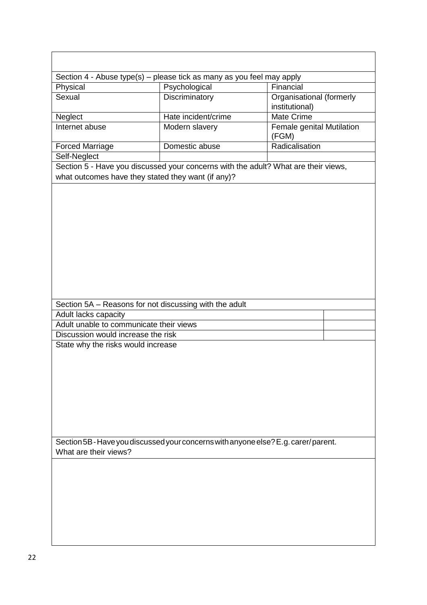| Section 4 - Abuse type(s) - please tick as many as you feel may apply                                                                    |                     |                                            |  |  |
|------------------------------------------------------------------------------------------------------------------------------------------|---------------------|--------------------------------------------|--|--|
| Psychological<br>Physical                                                                                                                |                     | Financial                                  |  |  |
| Sexual                                                                                                                                   | Discriminatory      | Organisational (formerly<br>institutional) |  |  |
| Neglect                                                                                                                                  | Hate incident/crime | <b>Mate Crime</b>                          |  |  |
| Internet abuse                                                                                                                           | Modern slavery      | Female genital Mutilation<br>(FGM)         |  |  |
| <b>Forced Marriage</b>                                                                                                                   | Domestic abuse      | Radicalisation                             |  |  |
| Self-Neglect                                                                                                                             |                     |                                            |  |  |
| Section 5 - Have you discussed your concerns with the adult? What are their views,<br>what outcomes have they stated they want (if any)? |                     |                                            |  |  |
|                                                                                                                                          |                     |                                            |  |  |
|                                                                                                                                          |                     |                                            |  |  |
|                                                                                                                                          |                     |                                            |  |  |
|                                                                                                                                          |                     |                                            |  |  |
|                                                                                                                                          |                     |                                            |  |  |
|                                                                                                                                          |                     |                                            |  |  |
| Section 5A - Reasons for not discussing with the adult                                                                                   |                     |                                            |  |  |
| Adult lacks capacity                                                                                                                     |                     |                                            |  |  |
| Adult unable to communicate their views                                                                                                  |                     |                                            |  |  |
| Discussion would increase the risk                                                                                                       |                     |                                            |  |  |
| State why the risks would increase                                                                                                       |                     |                                            |  |  |
|                                                                                                                                          |                     |                                            |  |  |
|                                                                                                                                          |                     |                                            |  |  |
|                                                                                                                                          |                     |                                            |  |  |
|                                                                                                                                          |                     |                                            |  |  |
|                                                                                                                                          |                     |                                            |  |  |
|                                                                                                                                          |                     |                                            |  |  |
|                                                                                                                                          |                     |                                            |  |  |
|                                                                                                                                          |                     |                                            |  |  |
| Section 5B-Have you discussed your concerns with anyone else? E.g. carer/parent.                                                         |                     |                                            |  |  |
| What are their views?                                                                                                                    |                     |                                            |  |  |
|                                                                                                                                          |                     |                                            |  |  |
|                                                                                                                                          |                     |                                            |  |  |
|                                                                                                                                          |                     |                                            |  |  |
|                                                                                                                                          |                     |                                            |  |  |
|                                                                                                                                          |                     |                                            |  |  |
|                                                                                                                                          |                     |                                            |  |  |
|                                                                                                                                          |                     |                                            |  |  |
|                                                                                                                                          |                     |                                            |  |  |
|                                                                                                                                          |                     |                                            |  |  |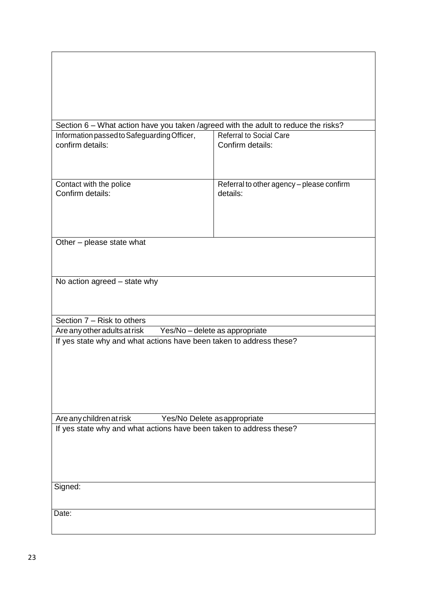| Section 6 - What action have you taken /agreed with the adult to reduce the risks?                                              |                                                    |  |  |  |  |
|---------------------------------------------------------------------------------------------------------------------------------|----------------------------------------------------|--|--|--|--|
| Information passed to Safeguarding Officer,<br>confirm details:                                                                 | <b>Referral to Social Care</b><br>Confirm details: |  |  |  |  |
|                                                                                                                                 |                                                    |  |  |  |  |
|                                                                                                                                 |                                                    |  |  |  |  |
| Contact with the police                                                                                                         | Referral to other agency - please confirm          |  |  |  |  |
| Confirm details:                                                                                                                | details:                                           |  |  |  |  |
|                                                                                                                                 |                                                    |  |  |  |  |
|                                                                                                                                 |                                                    |  |  |  |  |
| Other - please state what                                                                                                       |                                                    |  |  |  |  |
|                                                                                                                                 |                                                    |  |  |  |  |
|                                                                                                                                 |                                                    |  |  |  |  |
| No action agreed - state why                                                                                                    |                                                    |  |  |  |  |
|                                                                                                                                 |                                                    |  |  |  |  |
|                                                                                                                                 |                                                    |  |  |  |  |
| Section 7 - Risk to others<br>Are any other adults at risk Yes/No - delete as appropriate                                       |                                                    |  |  |  |  |
| If yes state why and what actions have been taken to address these?                                                             |                                                    |  |  |  |  |
|                                                                                                                                 |                                                    |  |  |  |  |
|                                                                                                                                 |                                                    |  |  |  |  |
|                                                                                                                                 |                                                    |  |  |  |  |
|                                                                                                                                 |                                                    |  |  |  |  |
|                                                                                                                                 |                                                    |  |  |  |  |
| Are any children at risk<br>Yes/No Delete as appropriate<br>If yes state why and what actions have been taken to address these? |                                                    |  |  |  |  |
|                                                                                                                                 |                                                    |  |  |  |  |
|                                                                                                                                 |                                                    |  |  |  |  |
|                                                                                                                                 |                                                    |  |  |  |  |
| Signed:                                                                                                                         |                                                    |  |  |  |  |
|                                                                                                                                 |                                                    |  |  |  |  |
| Date:                                                                                                                           |                                                    |  |  |  |  |
|                                                                                                                                 |                                                    |  |  |  |  |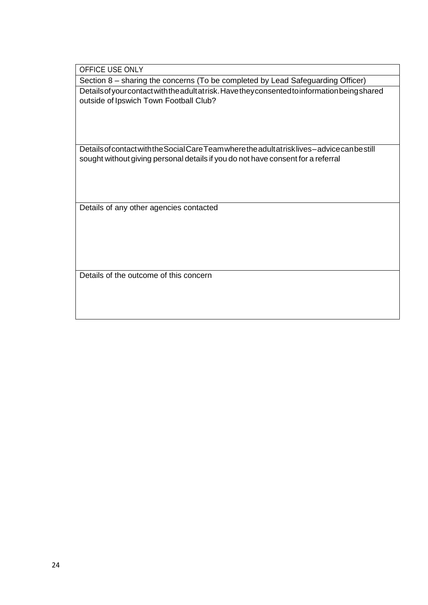OFFICE USE ONLY

Section 8 – sharing the concerns (To be completed by Lead Safeguarding Officer) Detailsofyourcontactwiththeadultatrisk.Havetheyconsentedtoinformationbeingshared outside of Ipswich Town Football Club?

DetailsofcontactwiththeSocialCareTeamwheretheadultatrisklives–advicecanbestill sought without giving personal details if you do not have consent for a referral

Details of any other agencies contacted

Details of the outcome of this concern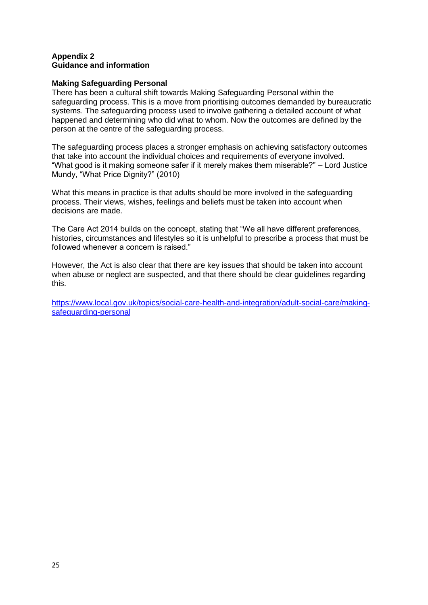#### **Appendix 2 Guidance and information**

### **Making Safeguarding Personal**

There has been a cultural shift towards Making Safeguarding Personal within the safeguarding process. This is a move from prioritising outcomes demanded by bureaucratic systems. The safeguarding process used to involve gathering a detailed account of what happened and determining who did what to whom. Now the outcomes are defined by the person at the centre of the safeguarding process.

The safeguarding process places a stronger emphasis on achieving satisfactory outcomes that take into account the individual choices and requirements of everyone involved. "What good is it making someone safer if it merely makes them miserable?" – Lord Justice Mundy, "What Price Dignity?" (2010)

What this means in practice is that adults should be more involved in the safeguarding process. Their views, wishes, feelings and beliefs must be taken into account when decisions are made.

The Care Act 2014 builds on the concept, stating that "We all have different preferences, histories, circumstances and lifestyles so it is unhelpful to prescribe a process that must be followed whenever a concern is raised."

However, the Act is also clear that there are key issues that should be taken into account when abuse or neglect are suspected, and that there should be clear guidelines regarding this.

[https://www.local.gov.uk/topics/social-care-health-and-integration/adult-social-care/making](https://www.local.gov.uk/topics/social-care-health-and-integration/adult-social-care/making-safeguarding-personal)[safeguarding-personal](https://www.local.gov.uk/topics/social-care-health-and-integration/adult-social-care/making-safeguarding-personal)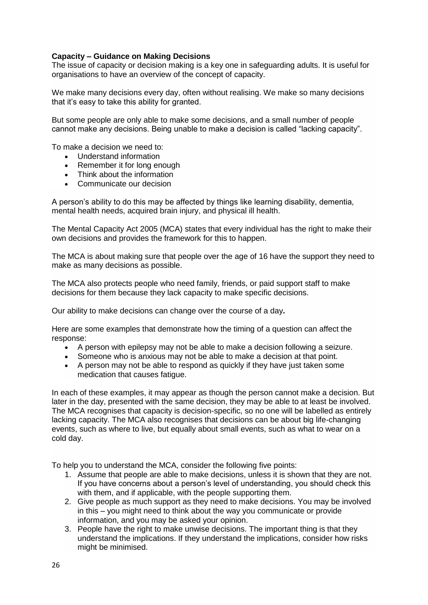### **Capacity – Guidance on Making Decisions**

The issue of capacity or decision making is a key one in safeguarding adults. It is useful for organisations to have an overview of the concept of capacity.

We make many decisions every day, often without realising. We make so many decisions that it's easy to take this ability for granted.

But some people are only able to make some decisions, and a small number of people cannot make any decisions. Being unable to make a decision is called "lacking capacity".

To make a decision we need to:

- Understand information
- Remember it for long enough
- Think about the information
- Communicate our decision

A person's ability to do this may be affected by things like learning disability, dementia, mental health needs, acquired brain injury, and physical ill health.

The Mental Capacity Act 2005 (MCA) states that every individual has the right to make their own decisions and provides the framework for this to happen.

The MCA is about making sure that people over the age of 16 have the support they need to make as many decisions as possible.

The MCA also protects people who need family, friends, or paid support staff to make decisions for them because they lack capacity to make specific decisions.

Our ability to make decisions can change over the course of a day**.**

Here are some examples that demonstrate how the timing of a question can affect the response:

- A person with epilepsy may not be able to make a decision following a seizure.
- Someone who is anxious may not be able to make a decision at that point.
- A person may not be able to respond as quickly if they have just taken some medication that causes fatigue.

In each of these examples, it may appear as though the person cannot make a decision. But later in the day, presented with the same decision, they may be able to at least be involved. The MCA recognises that capacity is decision-specific, so no one will be labelled as entirely lacking capacity. The MCA also recognises that decisions can be about big life-changing events, such as where to live, but equally about small events, such as what to wear on a cold day.

To help you to understand the MCA, consider the following five points:

- 1. Assume that people are able to make decisions, unless it is shown that they are not. If you have concerns about a person's level of understanding, you should check this with them, and if applicable, with the people supporting them.
- 2. Give people as much support as they need to make decisions. You may be involved in this – you might need to think about the way you communicate or provide information, and you may be asked your opinion.
- 3. People have the right to make unwise decisions. The important thing is that they understand the implications. If they understand the implications, consider how risks might be minimised.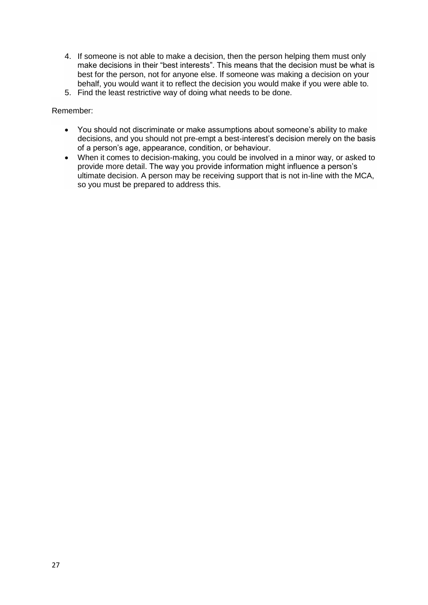- 4. If someone is not able to make a decision, then the person helping them must only make decisions in their "best interests". This means that the decision must be what is best for the person, not for anyone else. If someone was making a decision on your behalf, you would want it to reflect the decision you would make if you were able to.
- 5. Find the least restrictive way of doing what needs to be done.

Remember:

- You should not discriminate or make assumptions about someone's ability to make decisions, and you should not pre-empt a best-interest's decision merely on the basis of a person's age, appearance, condition, or behaviour.
- When it comes to decision-making, you could be involved in a minor way, or asked to provide more detail. The way you provide information might influence a person's ultimate decision. A person may be receiving support that is not in-line with the MCA, so you must be prepared to address this.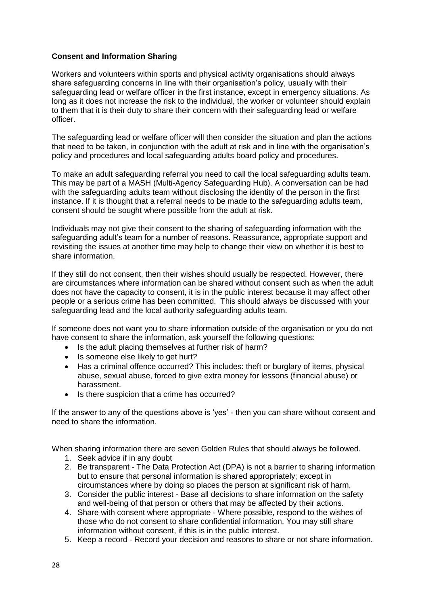### **Consent and Information Sharing**

Workers and volunteers within sports and physical activity organisations should always share safeguarding concerns in line with their organisation's policy, usually with their safeguarding lead or welfare officer in the first instance, except in emergency situations. As long as it does not increase the risk to the individual, the worker or volunteer should explain to them that it is their duty to share their concern with their safeguarding lead or welfare officer.

The safeguarding lead or welfare officer will then consider the situation and plan the actions that need to be taken, in conjunction with the adult at risk and in line with the organisation's policy and procedures and local safeguarding adults board policy and procedures.

To make an adult safeguarding referral you need to call the local safeguarding adults team. This may be part of a MASH (Multi-Agency Safeguarding Hub). A conversation can be had with the safeguarding adults team without disclosing the identity of the person in the first instance. If it is thought that a referral needs to be made to the safeguarding adults team, consent should be sought where possible from the adult at risk.

Individuals may not give their consent to the sharing of safeguarding information with the safeguarding adult's team for a number of reasons. Reassurance, appropriate support and revisiting the issues at another time may help to change their view on whether it is best to share information.

If they still do not consent, then their wishes should usually be respected. However, there are circumstances where information can be shared without consent such as when the adult does not have the capacity to consent, it is in the public interest because it may affect other people or a serious crime has been committed. This should always be discussed with your safeguarding lead and the local authority safeguarding adults team.

If someone does not want you to share information outside of the organisation or you do not have consent to share the information, ask yourself the following questions:

- Is the adult placing themselves at further risk of harm?
- Is someone else likely to get hurt?
- Has a criminal offence occurred? This includes: theft or burglary of items, physical abuse, sexual abuse, forced to give extra money for lessons (financial abuse) or harassment.
- Is there suspicion that a crime has occurred?

If the answer to any of the questions above is 'yes' - then you can share without consent and need to share the information.

When sharing information there are seven Golden Rules that should always be followed.

- 1. Seek advice if in any doubt
- 2. Be transparent The Data Protection Act (DPA) is not a barrier to sharing information but to ensure that personal information is shared appropriately; except in circumstances where by doing so places the person at significant risk of harm.
- 3. Consider the public interest Base all decisions to share information on the safety and well-being of that person or others that may be affected by their actions.
- 4. Share with consent where appropriate Where possible, respond to the wishes of those who do not consent to share confidential information. You may still share information without consent, if this is in the public interest.
- 5. Keep a record Record your decision and reasons to share or not share information.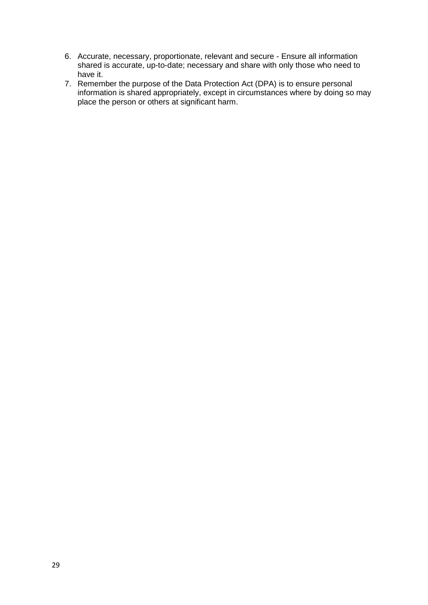- 6. Accurate, necessary, proportionate, relevant and secure Ensure all information shared is accurate, up-to-date; necessary and share with only those who need to have it.
- 7. Remember the purpose of the Data Protection Act (DPA) is to ensure personal information is shared appropriately, except in circumstances where by doing so may place the person or others at significant harm.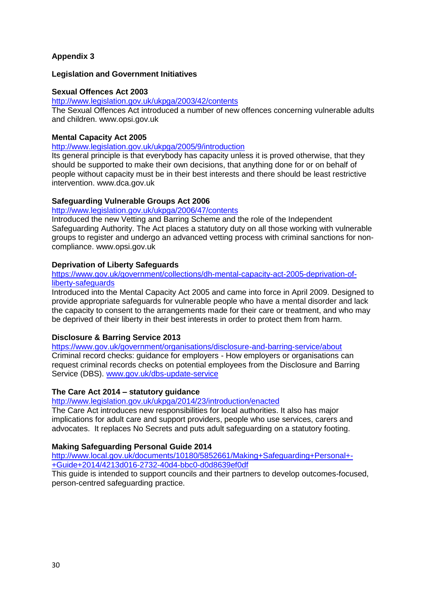### **Appendix 3**

### **Legislation and Government Initiatives**

#### **Sexual Offences Act 2003**

### <http://www.legislation.gov.uk/ukpga/2003/42/contents>

The Sexual Offences Act introduced a number of new offences concerning vulnerable adults and children. www.opsi.gov.uk

#### **Mental Capacity Act 2005**

<http://www.legislation.gov.uk/ukpga/2005/9/introduction>

Its general principle is that everybody has capacity unless it is proved otherwise, that they should be supported to make their own decisions, that anything done for or on behalf of people without capacity must be in their best interests and there should be least restrictive intervention. www.dca.gov.uk

#### **Safeguarding Vulnerable Groups Act 2006**

#### <http://www.legislation.gov.uk/ukpga/2006/47/contents>

Introduced the new Vetting and Barring Scheme and the role of the Independent Safeguarding Authority. The Act places a statutory duty on all those working with vulnerable groups to register and undergo an advanced vetting process with criminal sanctions for noncompliance. www.opsi.gov.uk

### **Deprivation of Liberty Safeguards**

[https://www.gov.uk/government/collections/dh-mental-capacity-act-2005-deprivation-of](https://www.gov.uk/government/collections/dh-mental-capacity-act-2005-deprivation-of-liberty-safeguards)[liberty-safeguards](https://www.gov.uk/government/collections/dh-mental-capacity-act-2005-deprivation-of-liberty-safeguards)

Introduced into the Mental Capacity Act 2005 and came into force in April 2009. Designed to provide appropriate safeguards for vulnerable people who have a mental disorder and lack the capacity to consent to the arrangements made for their care or treatment, and who may be deprived of their liberty in their best interests in order to protect them from harm.

### **Disclosure & Barring Service 2013**

<https://www.gov.uk/government/organisations/disclosure-and-barring-service/about> Criminal record checks: guidance for employers - How employers or organisations can request criminal records checks on potential employees from the Disclosure and Barring Service (DBS). [www.gov.uk/dbs-update-service](http://www.gov.uk/dbs-update-service)

### **The Care Act 2014 – statutory guidance**

<http://www.legislation.gov.uk/ukpga/2014/23/introduction/enacted>

The Care Act introduces new responsibilities for local authorities. It also has major implications for adult care and support providers, people who use services, carers and advocates. It replaces No Secrets and puts adult safeguarding on a statutory footing.

### **Making Safeguarding Personal Guide 2014**

[http://www.local.gov.uk/documents/10180/5852661/Making+Safeguarding+Personal+-](http://www.local.gov.uk/documents/10180/5852661/Making+Safeguarding+Personal+-+Guide+2014/4213d016-2732-40d4-bbc0-d0d8639ef0df) [+Guide+2014/4213d016-2732-40d4-bbc0-d0d8639ef0df](http://www.local.gov.uk/documents/10180/5852661/Making+Safeguarding+Personal+-+Guide+2014/4213d016-2732-40d4-bbc0-d0d8639ef0df)

This guide is intended to support councils and their partners to develop outcomes-focused, person-centred safeguarding practice.